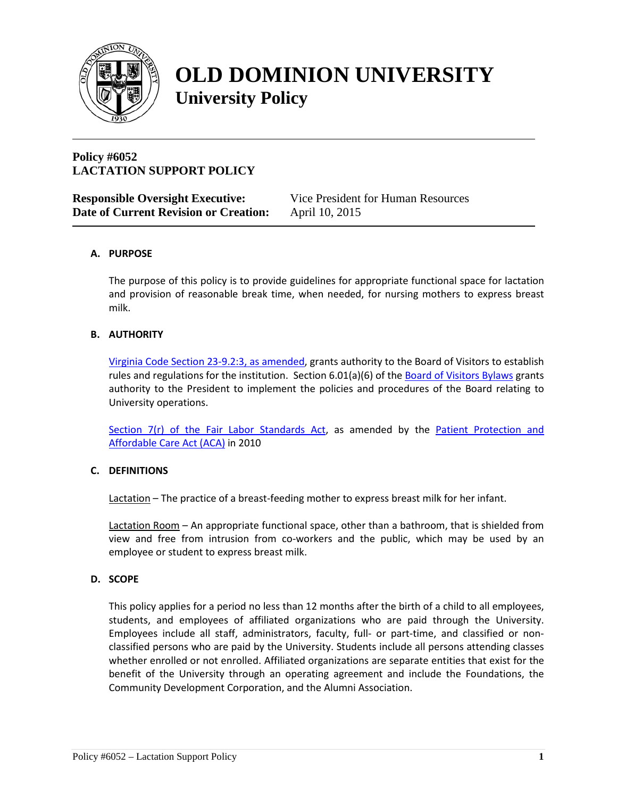

# **OLD DOMINION UNIVERSITY University Policy**

# **Policy #6052 LACTATION SUPPORT POLICY**

| <b>Responsible Oversight Executive:</b> | Vice President for Human Resources |
|-----------------------------------------|------------------------------------|
| Date of Current Revision or Creation:   | April 10, 2015                     |

# **A. PURPOSE**

The purpose of this policy is to provide guidelines for appropriate functional space for lactation and provision of reasonable break time, when needed, for nursing mothers to express breast milk.

#### **B. AUTHORITY**

[Virginia Code Section 23-9.2:3, as amended,](http://law.lis.virginia.gov/vacode/title23/chapter1/section23-9.2:3/) grants authority to the Board of Visitors to establish rules and regulations for the institution. Section 6.01(a)(6) of the [Board of Visitors Bylaws](http://www.odu.edu/content/odu/about/bov/bov-manual/bylaws.html) grants authority to the President to implement the policies and procedures of the Board relating to University operations.

Section 7(r) [of the Fair Labor Standards Act,](http://www.dol.gov/whd/nursingmothers/Sec7rFLSA_btnm.htm) as amended by the Patient Protection and [Affordable Care Act \(ACA\)](http://www.hhs.gov/healthcare/rights/law/) in 2010

#### **C. DEFINITIONS**

Lactation – The practice of a breast-feeding mother to express breast milk for her infant.

Lactation Room – An appropriate functional space, other than a bathroom, that is shielded from view and free from intrusion from co-workers and the public, which may be used by an employee or student to express breast milk.

#### **D. SCOPE**

This policy applies for a period no less than 12 months after the birth of a child to all employees, students, and employees of affiliated organizations who are paid through the University. Employees include all staff, administrators, faculty, full- or part-time, and classified or nonclassified persons who are paid by the University. Students include all persons attending classes whether enrolled or not enrolled. Affiliated organizations are separate entities that exist for the benefit of the University through an operating agreement and include the Foundations, the Community Development Corporation, and the Alumni Association.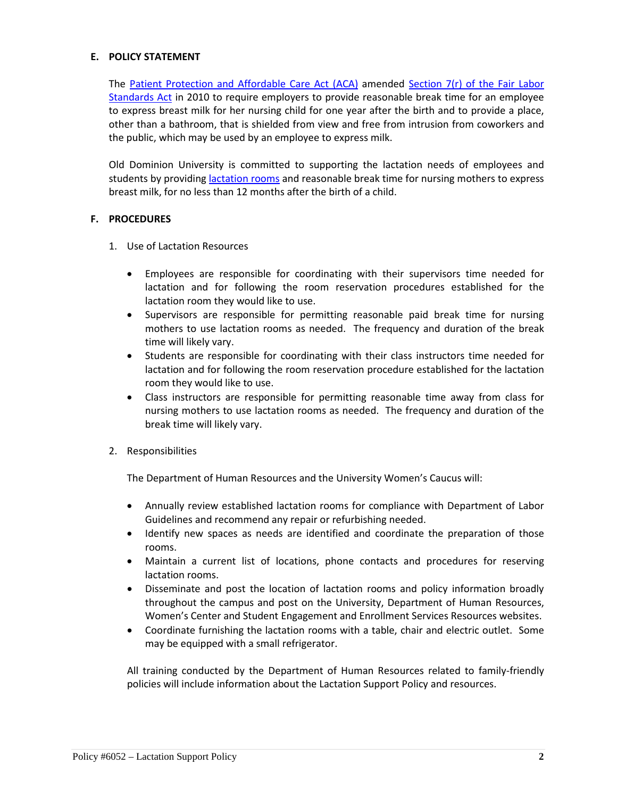#### **E. POLICY STATEMENT**

The [Patient Protection and Affordable Care Act \(ACA\)](http://www.hhs.gov/healthcare/rights/law/) amended Section 7(r) [of the Fair Labor](http://www.dol.gov/whd/nursingmothers/Sec7rFLSA_btnm.htm)  [Standards Act](http://www.dol.gov/whd/nursingmothers/Sec7rFLSA_btnm.htm) in 2010 to require employers to provide reasonable break time for an employee to express breast milk for her nursing child for one year after the birth and to provide a place, other than a bathroom, that is shielded from view and free from intrusion from coworkers and the public, which may be used by an employee to express milk.

Old Dominion University is committed to supporting the lactation needs of employees and students by providing [lactation rooms](http://www.odu.edu/content/dam/odu/policies/university/docs/lactation-rooms.pdf) and reasonable break time for nursing mothers to express breast milk, for no less than 12 months after the birth of a child.

#### **F. PROCEDURES**

- 1. Use of Lactation Resources
	- Employees are responsible for coordinating with their supervisors time needed for lactation and for following the room reservation procedures established for the lactation room they would like to use.
	- Supervisors are responsible for permitting reasonable paid break time for nursing mothers to use lactation rooms as needed. The frequency and duration of the break time will likely vary.
	- Students are responsible for coordinating with their class instructors time needed for lactation and for following the room reservation procedure established for the lactation room they would like to use.
	- Class instructors are responsible for permitting reasonable time away from class for nursing mothers to use lactation rooms as needed. The frequency and duration of the break time will likely vary.
- 2. Responsibilities

The Department of Human Resources and the University Women's Caucus will:

- Annually review established lactation rooms for compliance with Department of Labor Guidelines and recommend any repair or refurbishing needed.
- Identify new spaces as needs are identified and coordinate the preparation of those rooms.
- Maintain a current list of locations, phone contacts and procedures for reserving lactation rooms.
- Disseminate and post the location of lactation rooms and policy information broadly throughout the campus and post on the University, Department of Human Resources, Women's Center and Student Engagement and Enrollment Services Resources websites.
- Coordinate furnishing the lactation rooms with a table, chair and electric outlet. Some may be equipped with a small refrigerator.

All training conducted by the Department of Human Resources related to family-friendly policies will include information about the Lactation Support Policy and resources.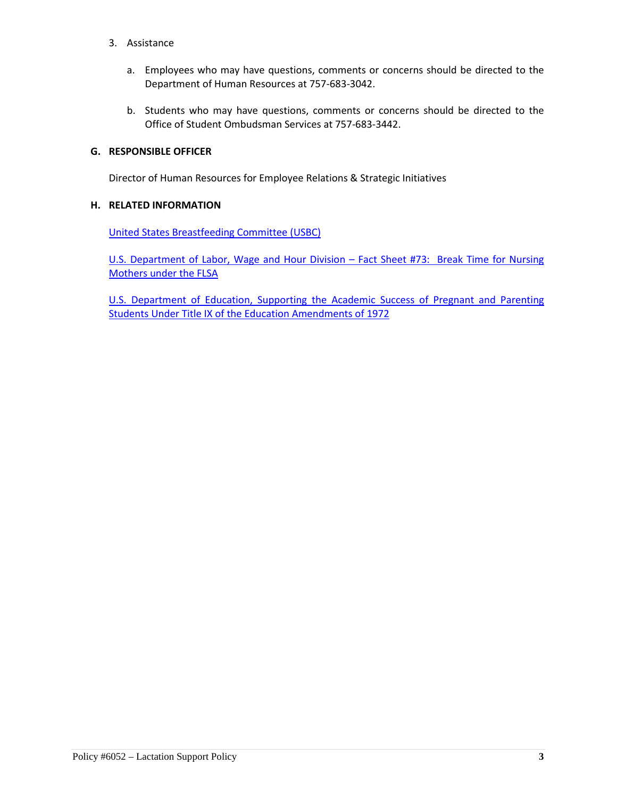- 3. Assistance
	- a. Employees who may have questions, comments or concerns should be directed to the Department of Human Resources at 757-683-3042.
	- b. Students who may have questions, comments or concerns should be directed to the Office of Student Ombudsman Services at 757-683-3442.

#### **G. RESPONSIBLE OFFICER**

Director of Human Resources for Employee Relations & Strategic Initiatives

### **H. RELATED INFORMATION**

[United States Breastfeeding Committee \(USBC\)](http://www.usbreastfeeding.org/)

U.S. [Department of Labor, Wage and Hour Division –](http://www.dol.gov/whd/regs/compliance/whdfs73.htm) Fact Sheet #73: Break Time for Nursing [Mothers under the FLSA](http://www.dol.gov/whd/regs/compliance/whdfs73.htm)

[U.S. Department of Education, Supporting the Academic Success of Pregnant and Parenting](https://www.google.com/url?sa=t&rct=j&q=&esrc=s&source=web&cd=1&ved=0CB4QFjAA&url=https%3A%2F%2Fwww2.ed.gov%2Fabout%2Foffices%2Flist%2Focr%2Fdocs%2Fpregnancy.pdf&ei=d703Vba_PMGpgwS2soGwAQ&usg=AFQjCNFt9RQx-OVKF0kmWL9MoR2IQsQDKQ&sig2=0CIXHPX2xirjNCwj3fGnbw&bvm=bv.91071109,d.eXY&cad=rja)  [Students Under Title IX of the Education Amendments of 1972](https://www.google.com/url?sa=t&rct=j&q=&esrc=s&source=web&cd=1&ved=0CB4QFjAA&url=https%3A%2F%2Fwww2.ed.gov%2Fabout%2Foffices%2Flist%2Focr%2Fdocs%2Fpregnancy.pdf&ei=d703Vba_PMGpgwS2soGwAQ&usg=AFQjCNFt9RQx-OVKF0kmWL9MoR2IQsQDKQ&sig2=0CIXHPX2xirjNCwj3fGnbw&bvm=bv.91071109,d.eXY&cad=rja)